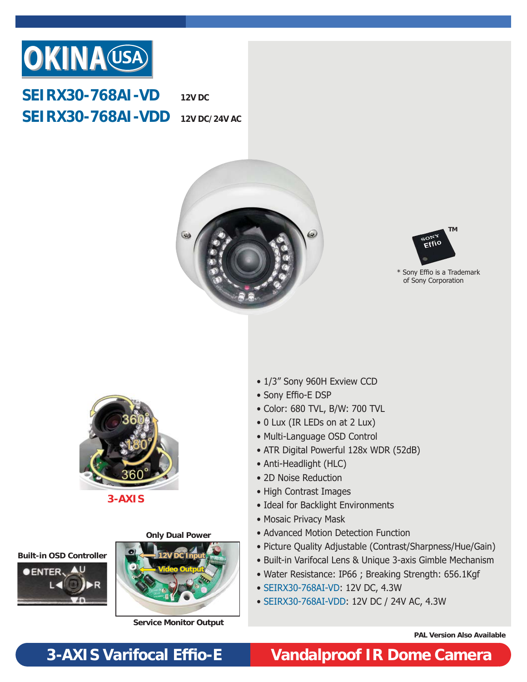

### **SEIRX30-768AI-VD SEIRX30-768AI-VDD 12V DC**







\* Sony Effio is a Trademark of Sony Corporation



**3-AXIS**

### **Only Dual Power**





**Service Monitor Output**

- 1/3" Sony 960H Exview CCD
- Sony Effio-E DSP
- Color: 680 TVL, B/W: 700 TVL
- 0 Lux (IR LEDs on at 2 Lux)
- Multi-Language OSD Control
- ATR Digital Powerful 128x WDR (52dB)
- Anti-Headlight (HLC)
- 2D Noise Reduction
- High Contrast Images
- Ideal for Backlight Environments
- Mosaic Privacy Mask
- Advanced Motion Detection Function
- Picture Quality Adjustable (Contrast/Sharpness/Hue/Gain)
- Built-in Varifocal Lens & Unique 3-axis Gimble Mechanism
- Water Resistance: IP66 ; Breaking Strength: 656.1Kgf
- SEIRX30-768AI-VD: 12V DC, 4.3W
- SEIRX30-768AI-VDD: 12V DC / 24V AC, 4.3W

**PAL Version Also Available**

## **3-AXIS Varifocal Effi o-E Vandalproof IR Dome Camera**